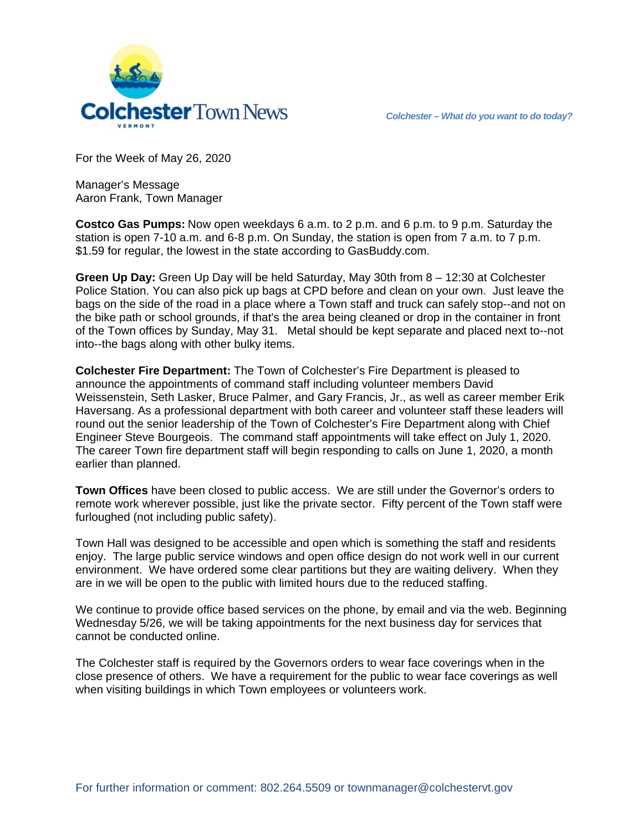

For the Week of May 26, 2020

Manager's Message Aaron Frank, Town Manager

**Costco Gas Pumps:** Now open weekdays 6 a.m. to 2 p.m. and 6 p.m. to 9 p.m. Saturday the station is open 7-10 a.m. and 6-8 p.m. On Sunday, the station is open from 7 a.m. to 7 p.m. \$1.59 for regular, the lowest in the state according to GasBuddy.com.

**Green Up Day:** Green Up Day will be held Saturday, May 30th from 8 – 12:30 at Colchester Police Station. You can also pick up bags at CPD before and clean on your own. Just leave the bags on the side of the road in a place where a Town staff and truck can safely stop--and not on the bike path or school grounds, if that's the area being cleaned or drop in the container in front of the Town offices by Sunday, May 31. Metal should be kept separate and placed next to--not into--the bags along with other bulky items.

**Colchester Fire Department:** The Town of Colchester's Fire Department is pleased to announce the appointments of command staff including volunteer members David Weissenstein, Seth Lasker, Bruce Palmer, and Gary Francis, Jr., as well as career member Erik Haversang. As a professional department with both career and volunteer staff these leaders will round out the senior leadership of the Town of Colchester's Fire Department along with Chief Engineer Steve Bourgeois. The command staff appointments will take effect on July 1, 2020. The career Town fire department staff will begin responding to calls on June 1, 2020, a month earlier than planned.

**Town Offices** have been closed to public access. We are still under the Governor's orders to remote work wherever possible, just like the private sector. Fifty percent of the Town staff were furloughed (not including public safety).

Town Hall was designed to be accessible and open which is something the staff and residents enjoy. The large public service windows and open office design do not work well in our current environment. We have ordered some clear partitions but they are waiting delivery. When they are in we will be open to the public with limited hours due to the reduced staffing.

We continue to provide office based services on the phone, by email and via the web. Beginning Wednesday 5/26, we will be taking appointments for the next business day for services that cannot be conducted online.

The Colchester staff is required by the Governors orders to wear face coverings when in the close presence of others. We have a requirement for the public to wear face coverings as well when visiting buildings in which Town employees or volunteers work.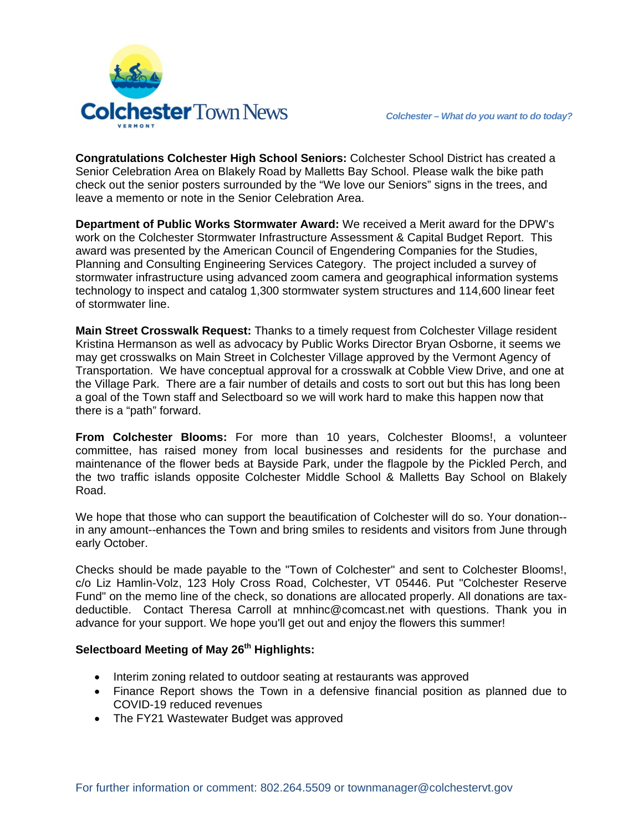

**Congratulations Colchester High School Seniors:** Colchester School District has created a Senior Celebration Area on Blakely Road by Malletts Bay School. Please walk the bike path check out the senior posters surrounded by the "We love our Seniors" signs in the trees, and leave a memento or note in the Senior Celebration Area.

**Department of Public Works Stormwater Award:** We received a Merit award for the DPW's work on the Colchester Stormwater Infrastructure Assessment & Capital Budget Report. This award was presented by the American Council of Engendering Companies for the Studies, Planning and Consulting Engineering Services Category. The project included a survey of stormwater infrastructure using advanced zoom camera and geographical information systems technology to inspect and catalog 1,300 stormwater system structures and 114,600 linear feet of stormwater line.

**Main Street Crosswalk Request:** Thanks to a timely request from Colchester Village resident Kristina Hermanson as well as advocacy by Public Works Director Bryan Osborne, it seems we may get crosswalks on Main Street in Colchester Village approved by the Vermont Agency of Transportation. We have conceptual approval for a crosswalk at Cobble View Drive, and one at the Village Park. There are a fair number of details and costs to sort out but this has long been a goal of the Town staff and Selectboard so we will work hard to make this happen now that there is a "path" forward.

**From Colchester Blooms:** For more than 10 years, Colchester Blooms!, a volunteer committee, has raised money from local businesses and residents for the purchase and maintenance of the flower beds at Bayside Park, under the flagpole by the Pickled Perch, and the two traffic islands opposite Colchester Middle School & Malletts Bay School on Blakely Road.

We hope that those who can support the beautification of Colchester will do so. Your donation- in any amount--enhances the Town and bring smiles to residents and visitors from June through early October.

Checks should be made payable to the "Town of Colchester" and sent to Colchester Blooms!, c/o Liz Hamlin-Volz, 123 Holy Cross Road, Colchester, VT 05446. Put "Colchester Reserve Fund" on the memo line of the check, so donations are allocated properly. All donations are taxdeductible. Contact Theresa Carroll at mnhinc@comcast.net with questions. Thank you in advance for your support. We hope you'll get out and enjoy the flowers this summer!

# **Selectboard Meeting of May 26th Highlights:**

- Interim zoning related to outdoor seating at restaurants was approved
- Finance Report shows the Town in a defensive financial position as planned due to COVID-19 reduced revenues
- The FY21 Wastewater Budget was approved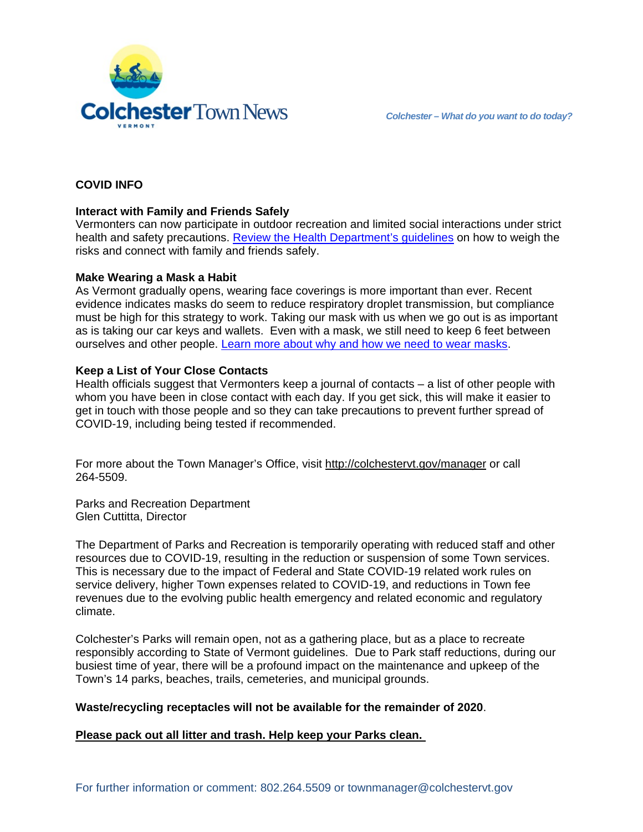

# **COVID INFO**

# **Interact with Family and Friends Safely**

Vermonters can now participate in outdoor recreation and limited social interactions under strict health and safety precautions. [Review the Health Department's guidelines](https://www.healthvermont.gov/sites/default/files/documents/pdf/Safely_Connect_with_Friends_and_Family_FINAL.pdf) on how to weigh the risks and connect with family and friends safely.

### **Make Wearing a Mask a Habit**

As Vermont gradually opens, wearing face coverings is more important than ever. Recent evidence indicates masks do seem to reduce respiratory droplet transmission, but compliance must be high for this strategy to work. Taking our mask with us when we go out is as important as is taking our car keys and wallets. Even with a mask, we still need to keep 6 feet between ourselves and other people. [Learn more about why and how we need to wear masks.](https://www.healthvermont.gov/Help-Slow-the-Spread-of-COVID-19-By-Wearing-Cloth-Face-Mask-April-23-2020)

## **Keep a List of Your Close Contacts**

Health officials suggest that Vermonters keep a journal of contacts – a list of other people with whom you have been in close contact with each day. If you get sick, this will make it easier to get in touch with those people and so they can take precautions to prevent further spread of COVID-19, including being tested if recommended.

For more about the Town Manager's Office, visit<http://colchestervt.gov/manager> or call 264-5509.

Parks and Recreation Department Glen Cuttitta, Director

The Department of Parks and Recreation is temporarily operating with reduced staff and other resources due to COVID-19, resulting in the reduction or suspension of some Town services. This is necessary due to the impact of Federal and State COVID-19 related work rules on service delivery, higher Town expenses related to COVID-19, and reductions in Town fee revenues due to the evolving public health emergency and related economic and regulatory climate.

Colchester's Parks will remain open, not as a gathering place, but as a place to recreate responsibly according to State of Vermont guidelines. Due to Park staff reductions, during our busiest time of year, there will be a profound impact on the maintenance and upkeep of the Town's 14 parks, beaches, trails, cemeteries, and municipal grounds.

### **Waste/recycling receptacles will not be available for the remainder of 2020**.

### **Please pack out all litter and trash. Help keep your Parks clean.**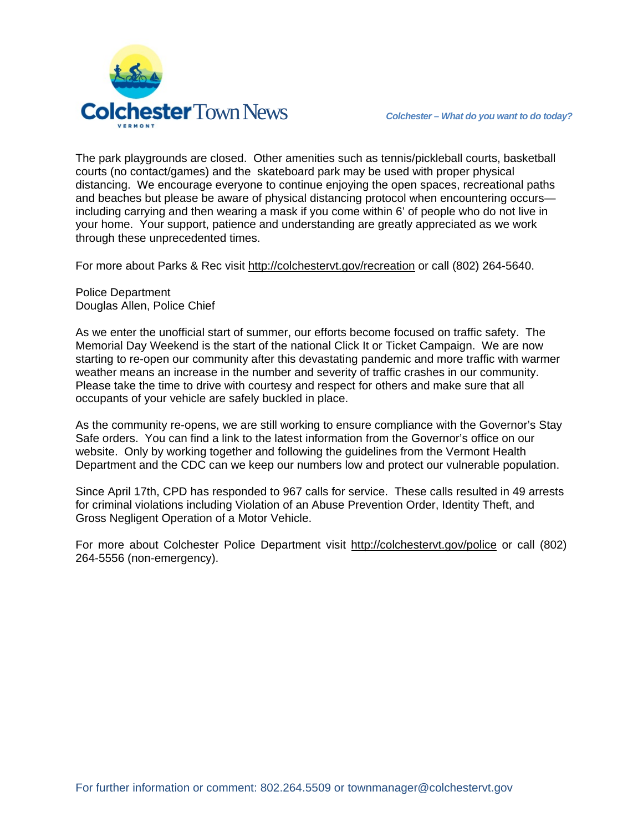

The park playgrounds are closed. Other amenities such as tennis/pickleball courts, basketball courts (no contact/games) and the skateboard park may be used with proper physical distancing. We encourage everyone to continue enjoying the open spaces, recreational paths and beaches but please be aware of physical distancing protocol when encountering occurs including carrying and then wearing a mask if you come within 6' of people who do not live in your home. Your support, patience and understanding are greatly appreciated as we work through these unprecedented times.

For more about Parks & Rec visit [http://colchestervt.gov/recreation](http://colchestervt.gov/Recreation/parksNRec.shtml) or call (802) 264-5640.

Police Department Douglas Allen, Police Chief

As we enter the unofficial start of summer, our efforts become focused on traffic safety. The Memorial Day Weekend is the start of the national Click It or Ticket Campaign. We are now starting to re-open our community after this devastating pandemic and more traffic with warmer weather means an increase in the number and severity of traffic crashes in our community. Please take the time to drive with courtesy and respect for others and make sure that all occupants of your vehicle are safely buckled in place.

As the community re-opens, we are still working to ensure compliance with the Governor's Stay Safe orders. You can find a link to the latest information from the Governor's office on our website. Only by working together and following the guidelines from the Vermont Health Department and the CDC can we keep our numbers low and protect our vulnerable population.

Since April 17th, CPD has responded to 967 calls for service. These calls resulted in 49 arrests for criminal violations including Violation of an Abuse Prevention Order, Identity Theft, and Gross Negligent Operation of a Motor Vehicle.

For more about Colchester Police Department visit<http://colchestervt.gov/police> or call (802) 264-5556 (non-emergency).